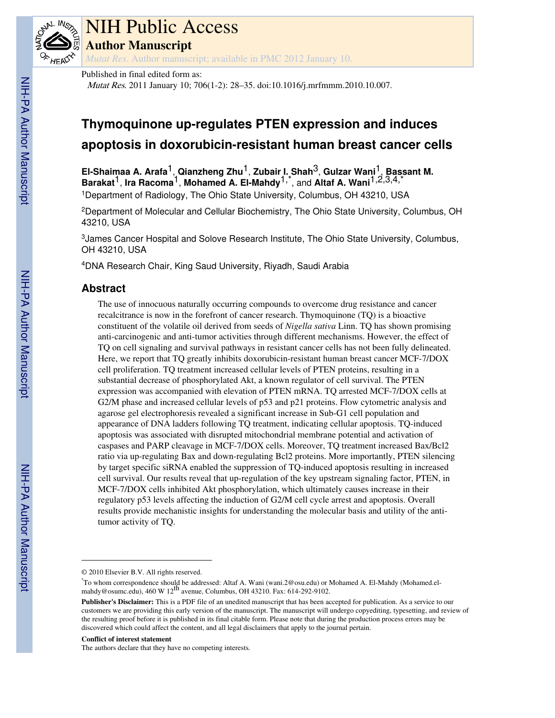

# NIH Public Access

**Author Manuscript**

*Mutat Res*. Author manuscript; available in PMC 2012 January 10.

Published in final edited form as:

Mutat Res. 2011 January 10; 706(1-2): 28–35. doi:10.1016/j.mrfmmm.2010.10.007.

## **Thymoquinone up-regulates PTEN expression and induces apoptosis in doxorubicin-resistant human breast cancer cells**

**El-Shaimaa A. Arafa**1, **Qianzheng Zhu**1, **Zubair I. Shah**3, **Gulzar Wani**1, **Bassant M. Barakat**1, **Ira Racoma**1, **Mohamed A. El-Mahdy**1,\*, and **Altaf A. Wani**1,2,3,4,\* <sup>1</sup>Department of Radiology, The Ohio State University, Columbus, OH 43210, USA

<sup>2</sup>Department of Molecular and Cellular Biochemistry, The Ohio State University, Columbus, OH 43210, USA

<sup>3</sup>James Cancer Hospital and Solove Research Institute, The Ohio State University, Columbus, OH 43210, USA

<sup>4</sup>DNA Research Chair, King Saud University, Riyadh, Saudi Arabia

## **Abstract**

The use of innocuous naturally occurring compounds to overcome drug resistance and cancer recalcitrance is now in the forefront of cancer research. Thymoquinone (TQ) is a bioactive constituent of the volatile oil derived from seeds of *Nigella sativa* Linn. TQ has shown promising anti-carcinogenic and anti-tumor activities through different mechanisms. However, the effect of TQ on cell signaling and survival pathways in resistant cancer cells has not been fully delineated. Here, we report that TQ greatly inhibits doxorubicin-resistant human breast cancer MCF-7/DOX cell proliferation. TQ treatment increased cellular levels of PTEN proteins, resulting in a substantial decrease of phosphorylated Akt, a known regulator of cell survival. The PTEN expression was accompanied with elevation of PTEN mRNA. TQ arrested MCF-7/DOX cells at G2/M phase and increased cellular levels of p53 and p21 proteins. Flow cytometric analysis and agarose gel electrophoresis revealed a significant increase in Sub-G1 cell population and appearance of DNA ladders following TQ treatment, indicating cellular apoptosis. TQ-induced apoptosis was associated with disrupted mitochondrial membrane potential and activation of caspases and PARP cleavage in MCF-7/DOX cells. Moreover, TQ treatment increased Bax/Bcl2 ratio via up-regulating Bax and down-regulating Bcl2 proteins. More importantly, PTEN silencing by target specific siRNA enabled the suppression of TQ-induced apoptosis resulting in increased cell survival. Our results reveal that up-regulation of the key upstream signaling factor, PTEN, in MCF-7/DOX cells inhibited Akt phosphorylation, which ultimately causes increase in their regulatory p53 levels affecting the induction of G2/M cell cycle arrest and apoptosis. Overall results provide mechanistic insights for understanding the molecular basis and utility of the antitumor activity of TQ.

#### **Conflict of interest statement**

The authors declare that they have no competing interests.

<sup>© 2010</sup> Elsevier B.V. All rights reserved.

<sup>\*</sup>To whom correspondence should be addressed: Altaf A. Wani (wani.2@osu.edu) or Mohamed A. El-Mahdy (Mohamed.elmahdy@osumc.edu), 460 W 12<sup>th</sup> avenue, Columbus, OH 43210. Fax: 614-292-9102.

**Publisher's Disclaimer:** This is a PDF file of an unedited manuscript that has been accepted for publication. As a service to our customers we are providing this early version of the manuscript. The manuscript will undergo copyediting, typesetting, and review of the resulting proof before it is published in its final citable form. Please note that during the production process errors may be discovered which could affect the content, and all legal disclaimers that apply to the journal pertain.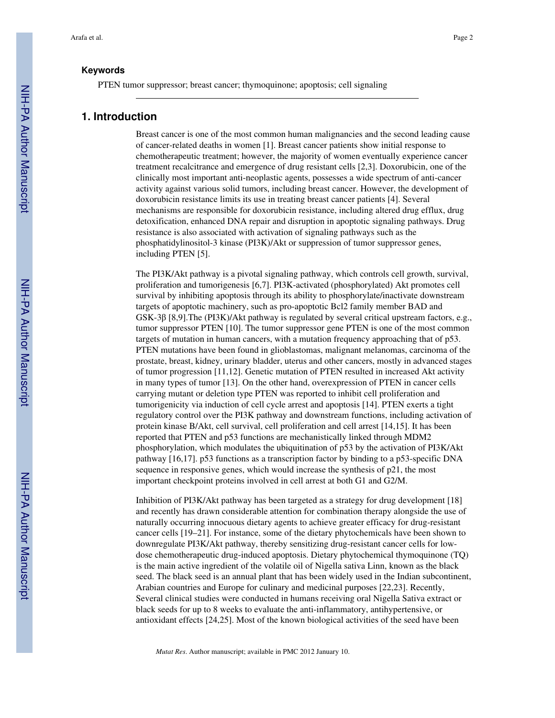## **Keywords**

PTEN tumor suppressor; breast cancer; thymoquinone; apoptosis; cell signaling

## **1. Introduction**

Breast cancer is one of the most common human malignancies and the second leading cause of cancer-related deaths in women [1]. Breast cancer patients show initial response to chemotherapeutic treatment; however, the majority of women eventually experience cancer treatment recalcitrance and emergence of drug resistant cells [2,3]. Doxorubicin, one of the clinically most important anti-neoplastic agents, possesses a wide spectrum of anti-cancer activity against various solid tumors, including breast cancer. However, the development of doxorubicin resistance limits its use in treating breast cancer patients [4]. Several mechanisms are responsible for doxorubicin resistance, including altered drug efflux, drug detoxification, enhanced DNA repair and disruption in apoptotic signaling pathways. Drug resistance is also associated with activation of signaling pathways such as the phosphatidylinositol-3 kinase (PI3K)/Akt or suppression of tumor suppressor genes, including PTEN [5].

The PI3K/Akt pathway is a pivotal signaling pathway, which controls cell growth, survival, proliferation and tumorigenesis [6,7]. PI3K-activated (phosphorylated) Akt promotes cell survival by inhibiting apoptosis through its ability to phosphorylate/inactivate downstream targets of apoptotic machinery, such as pro-apoptotic Bcl2 family member BAD and GSK-3β [8,9].The (PI3K)/Akt pathway is regulated by several critical upstream factors, e.g., tumor suppressor PTEN [10]. The tumor suppressor gene PTEN is one of the most common targets of mutation in human cancers, with a mutation frequency approaching that of p53. PTEN mutations have been found in glioblastomas, malignant melanomas, carcinoma of the prostate, breast, kidney, urinary bladder, uterus and other cancers, mostly in advanced stages of tumor progression [11,12]. Genetic mutation of PTEN resulted in increased Akt activity in many types of tumor [13]. On the other hand, overexpression of PTEN in cancer cells carrying mutant or deletion type PTEN was reported to inhibit cell proliferation and tumorigenicity via induction of cell cycle arrest and apoptosis [14]. PTEN exerts a tight regulatory control over the PI3K pathway and downstream functions, including activation of protein kinase B/Akt, cell survival, cell proliferation and cell arrest [14,15]. It has been reported that PTEN and p53 functions are mechanistically linked through MDM2 phosphorylation, which modulates the ubiquitination of p53 by the activation of PI3K/Akt pathway [16,17]. p53 functions as a transcription factor by binding to a p53-specific DNA sequence in responsive genes, which would increase the synthesis of p21, the most important checkpoint proteins involved in cell arrest at both G1 and G2/M.

Inhibition of PI3K/Akt pathway has been targeted as a strategy for drug development [18] and recently has drawn considerable attention for combination therapy alongside the use of naturally occurring innocuous dietary agents to achieve greater efficacy for drug-resistant cancer cells [19–21]. For instance, some of the dietary phytochemicals have been shown to downregulate PI3K/Akt pathway, thereby sensitizing drug-resistant cancer cells for lowdose chemotherapeutic drug-induced apoptosis. Dietary phytochemical thymoquinone (TQ) is the main active ingredient of the volatile oil of Nigella sativa Linn, known as the black seed. The black seed is an annual plant that has been widely used in the Indian subcontinent, Arabian countries and Europe for culinary and medicinal purposes [22,23]. Recently, Several clinical studies were conducted in humans receiving oral Nigella Sativa extract or black seeds for up to 8 weeks to evaluate the anti-inflammatory, antihypertensive, or antioxidant effects [24,25]. Most of the known biological activities of the seed have been

*Mutat Res*. Author manuscript; available in PMC 2012 January 10.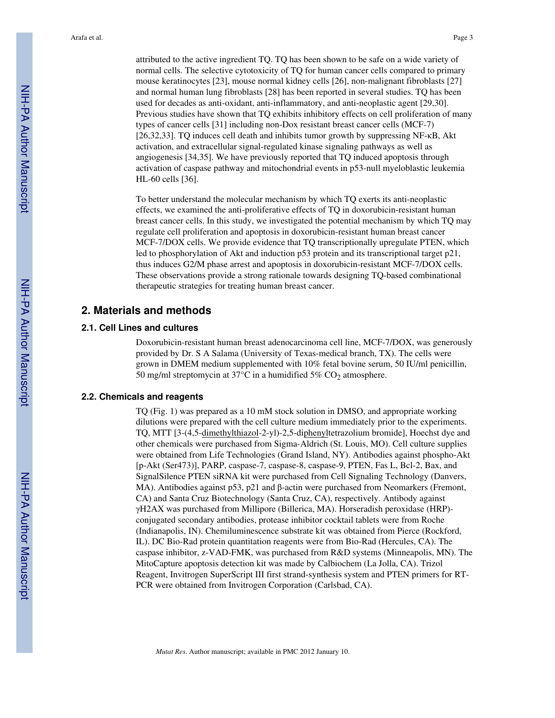attributed to the active ingredient TQ. TQ has been shown to be safe on a wide variety of normal cells. The selective cytotoxicity of TQ for human cancer cells compared to primary mouse keratinocytes [23], mouse normal kidney cells [26], non-malignant fibroblasts [27] and normal human lung fibroblasts [28] has been reported in several studies. TQ has been used for decades as anti-oxidant, anti-inflammatory, and anti-neoplastic agent [29,30]. Previous studies have shown that TQ exhibits inhibitory effects on cell proliferation of many types of cancer cells [31] including non-Dox resistant breast cancer cells (MCF-7) [26,32,33]. TQ induces cell death and inhibits tumor growth by suppressing NF- $\kappa$ B, Akt activation, and extracellular signal-regulated kinase signaling pathways as well as angiogenesis [34,35]. We have previously reported that TQ induced apoptosis through activation of caspase pathway and mitochondrial events in p53-null myeloblastic leukemia HL-60 cells [36].

To better understand the molecular mechanism by which TQ exerts its anti-neoplastic effects, we examined the anti-proliferative effects of TQ in doxorubicin-resistant human breast cancer cells. In this study, we investigated the potential mechanism by which TQ may regulate cell proliferation and apoptosis in doxorubicin-resistant human breast cancer MCF-7/DOX cells. We provide evidence that TQ transcriptionally upregulate PTEN, which led to phosphorylation of Akt and induction p53 protein and its transcriptional target p21, thus induces G2/M phase arrest and apoptosis in doxorubicin-resistant MCF-7/DOX cells. These observations provide a strong rationale towards designing TQ-based combinational therapeutic strategies for treating human breast cancer.

## **2. Materials and methods**

## **2.1. Cell Lines and cultures**

Doxorubicin-resistant human breast adenocarcinoma cell line, MCF-7/DOX, was generously provided by Dr. S A Salama (University of Texas-medical branch, TX). The cells were grown in DMEM medium supplemented with 10% fetal bovine serum, 50 IU/ml penicillin, 50 mg/ml streptomycin at  $37^{\circ}$ C in a humidified 5% CO<sub>2</sub> atmosphere.

#### **2.2. Chemicals and reagents**

TQ (Fig. 1) was prepared as a 10 mM stock solution in DMSO, and appropriate working dilutions were prepared with the cell culture medium immediately prior to the experiments. TQ, MTT [3-(4,5-dimethylthiazol-2-yl)-2,5-diphenyltetrazolium bromide], Hoechst dye and other chemicals were purchased from Sigma-Aldrich (St. Louis, MO). Cell culture supplies were obtained from Life Technologies (Grand Island, NY). Antibodies against phospho-Akt [p-Akt (Ser473)], PARP, caspase-7, caspase-8, caspase-9, PTEN, Fas L, Bcl-2, Bax, and SignalSilence PTEN siRNA kit were purchased from Cell Signaling Technology (Danvers, MA). Antibodies against p53, p21 and β-actin were purchased from Neomarkers (Fremont, CA) and Santa Cruz Biotechnology (Santa Cruz, CA), respectively. Antibody against γH2AX was purchased from Millipore (Billerica, MA). Horseradish peroxidase (HRP) conjugated secondary antibodies, protease inhibitor cocktail tablets were from Roche (Indianapolis, IN). Chemiluminescence substrate kit was obtained from Pierce (Rockford, IL). DC Bio-Rad protein quantitation reagents were from Bio-Rad (Hercules, CA). The caspase inhibitor, z-VAD-FMK, was purchased from R&D systems (Minneapolis, MN). The MitoCapture apoptosis detection kit was made by Calbiochem (La Jolla, CA). Trizol Reagent, Invitrogen SuperScript III first strand-synthesis system and PTEN primers for RT-PCR were obtained from Invitrogen Corporation (Carlsbad, CA).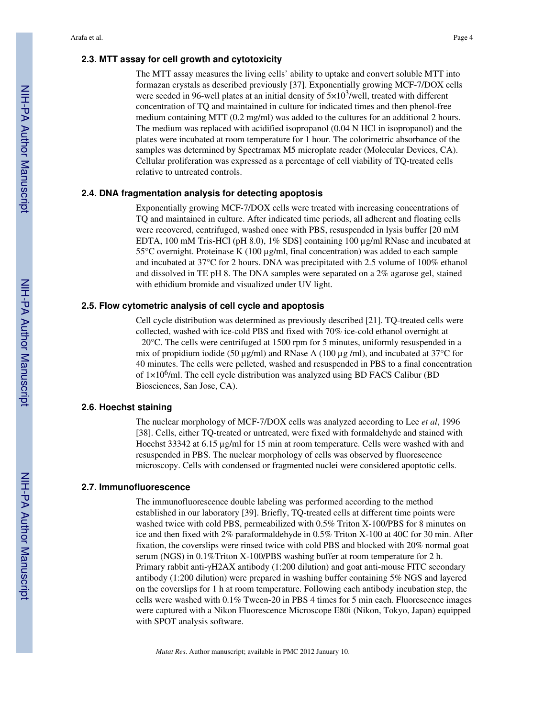## **2.3. MTT assay for cell growth and cytotoxicity**

formazan crystals as described previously [37]. Exponentially growing MCF-7/DOX cells were seeded in 96-well plates at an initial density of  $5 \times 10^3$ /well, treated with different concentration of TQ and maintained in culture for indicated times and then phenol-free medium containing MTT (0.2 mg/ml) was added to the cultures for an additional 2 hours. The medium was replaced with acidified isopropanol (0.04 N HCl in isopropanol) and the plates were incubated at room temperature for 1 hour. The colorimetric absorbance of the samples was determined by Spectramax M5 microplate reader (Molecular Devices, CA). Cellular proliferation was expressed as a percentage of cell viability of TQ-treated cells relative to untreated controls.

## **2.4. DNA fragmentation analysis for detecting apoptosis**

Exponentially growing MCF-7/DOX cells were treated with increasing concentrations of TQ and maintained in culture. After indicated time periods, all adherent and floating cells were recovered, centrifuged, washed once with PBS, resuspended in lysis buffer [20 mM EDTA, 100 mM Tris-HCl (pH 8.0), 1% SDS] containing 100 µg/ml RNase and incubated at  $55^{\circ}$ C overnight. Proteinase K (100 µg/ml, final concentration) was added to each sample and incubated at 37°C for 2 hours. DNA was precipitated with 2.5 volume of 100% ethanol and dissolved in TE pH 8. The DNA samples were separated on a 2% agarose gel, stained with ethidium bromide and visualized under UV light.

## **2.5. Flow cytometric analysis of cell cycle and apoptosis**

Cell cycle distribution was determined as previously described [21]. TQ-treated cells were collected, washed with ice-cold PBS and fixed with 70% ice-cold ethanol overnight at −20°C. The cells were centrifuged at 1500 rpm for 5 minutes, uniformly resuspended in a mix of propidium iodide (50  $\mu$ g/ml) and RNase A (100  $\mu$ g/ml), and incubated at 37°C for 40 minutes. The cells were pelleted, washed and resuspended in PBS to a final concentration of 1×10<sup>6</sup>/ml. The cell cycle distribution was analyzed using BD FACS Calibur (BD Biosciences, San Jose, CA).

## **2.6. Hoechst staining**

The nuclear morphology of MCF-7/DOX cells was analyzed according to Lee *et al*, 1996 [38]. Cells, either TQ-treated or untreated, were fixed with formaldehyde and stained with Hoechst 33342 at 6.15 µg/ml for 15 min at room temperature. Cells were washed with and resuspended in PBS. The nuclear morphology of cells was observed by fluorescence microscopy. Cells with condensed or fragmented nuclei were considered apoptotic cells.

## **2.7. Immunofluorescence**

The immunofluorescence double labeling was performed according to the method established in our laboratory [39]. Briefly, TQ-treated cells at different time points were washed twice with cold PBS, permeabilized with 0.5% Triton X-100/PBS for 8 minutes on ice and then fixed with 2% paraformaldehyde in 0.5% Triton X-100 at 40C for 30 min. After fixation, the coverslips were rinsed twice with cold PBS and blocked with 20% normal goat serum (NGS) in 0.1%Triton X-100/PBS washing buffer at room temperature for 2 h. Primary rabbit anti-γH2AX antibody (1:200 dilution) and goat anti-mouse FITC secondary antibody (1:200 dilution) were prepared in washing buffer containing 5% NGS and layered on the coverslips for 1 h at room temperature. Following each antibody incubation step, the cells were washed with 0.1% Tween-20 in PBS 4 times for 5 min each. Fluorescence images were captured with a Nikon Fluorescence Microscope E80i (Nikon, Tokyo, Japan) equipped with SPOT analysis software.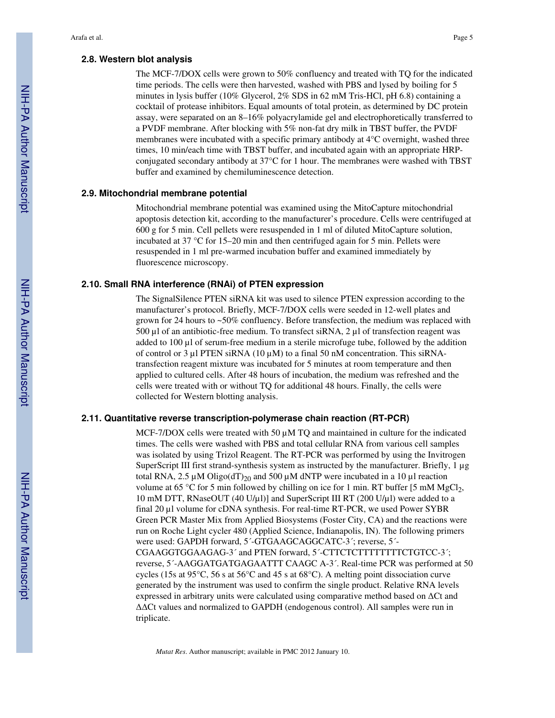## **2.8. Western blot analysis**

The MCF-7/DOX cells were grown to 50% confluency and treated with TQ for the indicated time periods. The cells were then harvested, washed with PBS and lysed by boiling for 5 minutes in lysis buffer (10% Glycerol, 2% SDS in 62 mM Tris-HCl, pH 6.8) containing a cocktail of protease inhibitors. Equal amounts of total protein, as determined by DC protein assay, were separated on an 8–16% polyacrylamide gel and electrophoretically transferred to a PVDF membrane. After blocking with 5% non-fat dry milk in TBST buffer, the PVDF membranes were incubated with a specific primary antibody at 4°C overnight, washed three times, 10 min/each time with TBST buffer, and incubated again with an appropriate HRPconjugated secondary antibody at 37°C for 1 hour. The membranes were washed with TBST buffer and examined by chemiluminescence detection.

## **2.9. Mitochondrial membrane potential**

Mitochondrial membrane potential was examined using the MitoCapture mitochondrial apoptosis detection kit, according to the manufacturer's procedure. Cells were centrifuged at 600 g for 5 min. Cell pellets were resuspended in 1 ml of diluted MitoCapture solution, incubated at 37 °C for 15–20 min and then centrifuged again for 5 min. Pellets were resuspended in 1 ml pre-warmed incubation buffer and examined immediately by fluorescence microscopy.

## **2.10. Small RNA interference (RNAi) of PTEN expression**

The SignalSilence PTEN siRNA kit was used to silence PTEN expression according to the manufacturer's protocol. Briefly, MCF-7/DOX cells were seeded in 12-well plates and grown for 24 hours to ~50% confluency. Before transfection, the medium was replaced with 500  $\mu$ l of an antibiotic-free medium. To transfect siRNA, 2  $\mu$ l of transfection reagent was added to 100 µl of serum-free medium in a sterile microfuge tube, followed by the addition of control or 3  $\mu$ l PTEN siRNA (10  $\mu$ M) to a final 50 nM concentration. This siRNAtransfection reagent mixture was incubated for 5 minutes at room temperature and then applied to cultured cells. After 48 hours of incubation, the medium was refreshed and the cells were treated with or without TQ for additional 48 hours. Finally, the cells were collected for Western blotting analysis.

## **2.11. Quantitative reverse transcription-polymerase chain reaction (RT-PCR)**

MCF-7/DOX cells were treated with 50  $\mu$ M TQ and maintained in culture for the indicated times. The cells were washed with PBS and total cellular RNA from various cell samples was isolated by using Trizol Reagent. The RT-PCR was performed by using the Invitrogen SuperScript III first strand-synthesis system as instructed by the manufacturer. Briefly, 1 µg total RNA, 2.5  $\mu$ M Oligo(dT)<sub>20</sub> and 500  $\mu$ M dNTP were incubated in a 10  $\mu$ l reaction volume at 65 °C for 5 min followed by chilling on ice for 1 min. RT buffer [5 mM MgCl<sub>2</sub>, 10 mM DTT, RNaseOUT (40 U/µl)] and SuperScript III RT (200 U/µl) were added to a final 20 µl volume for cDNA synthesis. For real-time RT-PCR, we used Power SYBR Green PCR Master Mix from Applied Biosystems (Foster City, CA) and the reactions were run on Roche Light cycler 480 (Applied Science, Indianapolis, IN). The following primers were used: GAPDH forward, 5´-GTGAAGCAGGCATC-3´; reverse, 5´- CGAAGGTGGAAGAG-3´ and PTEN forward, 5´-CTTCTCTTTTTTTTCTGTCC-3´; reverse, 5´-AAGGATGATGAGAATTT CAAGC A-3´. Real-time PCR was performed at 50 cycles (15s at 95 $\degree$ C, 56 s at 56 $\degree$ C and 45 s at 68 $\degree$ C). A melting point dissociation curve generated by the instrument was used to confirm the single product. Relative RNA levels expressed in arbitrary units were calculated using comparative method based on  $\Delta$ Ct and ΔΔCt values and normalized to GAPDH (endogenous control). All samples were run in triplicate.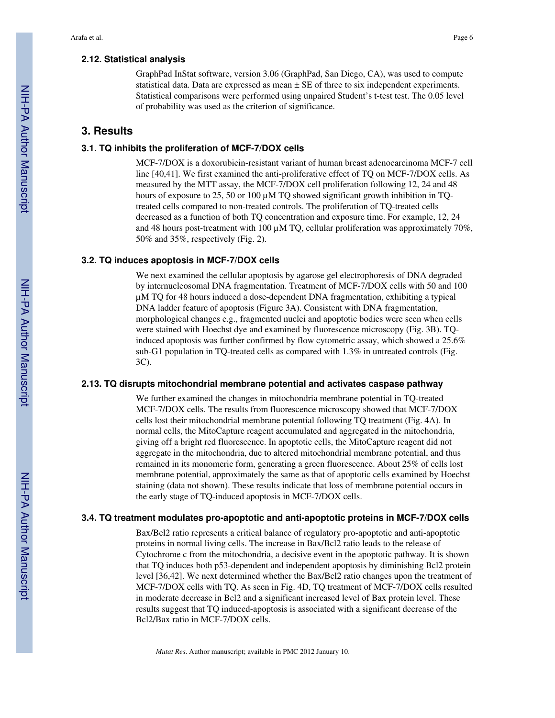## **2.12. Statistical analysis**

GraphPad InStat software, version 3.06 (GraphPad, San Diego, CA), was used to compute statistical data. Data are expressed as mean  $\pm$  SE of three to six independent experiments. Statistical comparisons were performed using unpaired Student's t-test test. The 0.05 level of probability was used as the criterion of significance.

## **3. Results**

## **3.1. TQ inhibits the proliferation of MCF-7/DOX cells**

MCF-7/DOX is a doxorubicin-resistant variant of human breast adenocarcinoma MCF-7 cell line [40,41]. We first examined the anti-proliferative effect of TQ on MCF-7/DOX cells. As measured by the MTT assay, the MCF-7/DOX cell proliferation following 12, 24 and 48 hours of exposure to 25, 50 or 100  $\mu$ M TQ showed significant growth inhibition in TQtreated cells compared to non-treated controls. The proliferation of TQ-treated cells decreased as a function of both TQ concentration and exposure time. For example, 12, 24 and 48 hours post-treatment with 100  $\mu$ M TQ, cellular proliferation was approximately 70%, 50% and 35%, respectively (Fig. 2).

## **3.2. TQ induces apoptosis in MCF-7/DOX cells**

We next examined the cellular apoptosis by agarose gel electrophoresis of DNA degraded by internucleosomal DNA fragmentation. Treatment of MCF-7/DOX cells with 50 and 100 µM TQ for 48 hours induced a dose-dependent DNA fragmentation, exhibiting a typical DNA ladder feature of apoptosis (Figure 3A). Consistent with DNA fragmentation, morphological changes e.g., fragmented nuclei and apoptotic bodies were seen when cells were stained with Hoechst dye and examined by fluorescence microscopy (Fig. 3B). TQinduced apoptosis was further confirmed by flow cytometric assay, which showed a 25.6% sub-G1 population in TQ-treated cells as compared with 1.3% in untreated controls (Fig. 3C).

## **2.13. TQ disrupts mitochondrial membrane potential and activates caspase pathway**

We further examined the changes in mitochondria membrane potential in TQ-treated MCF-7/DOX cells. The results from fluorescence microscopy showed that MCF-7/DOX cells lost their mitochondrial membrane potential following TQ treatment (Fig. 4A). In normal cells, the MitoCapture reagent accumulated and aggregated in the mitochondria, giving off a bright red fluorescence. In apoptotic cells, the MitoCapture reagent did not aggregate in the mitochondria, due to altered mitochondrial membrane potential, and thus remained in its monomeric form, generating a green fluorescence. About 25% of cells lost membrane potential, approximately the same as that of apoptotic cells examined by Hoechst staining (data not shown). These results indicate that loss of membrane potential occurs in the early stage of TQ-induced apoptosis in MCF-7/DOX cells.

## **3.4. TQ treatment modulates pro-apoptotic and anti-apoptotic proteins in MCF-7/DOX cells**

Bax/Bcl2 ratio represents a critical balance of regulatory pro-apoptotic and anti-apoptotic proteins in normal living cells. The increase in Bax/Bcl2 ratio leads to the release of Cytochrome c from the mitochondria, a decisive event in the apoptotic pathway. It is shown that TQ induces both p53-dependent and independent apoptosis by diminishing Bcl2 protein level [36,42]. We next determined whether the Bax/Bcl2 ratio changes upon the treatment of MCF-7/DOX cells with TQ. As seen in Fig. 4D, TQ treatment of MCF-7/DOX cells resulted in moderate decrease in Bcl2 and a significant increased level of Bax protein level. These results suggest that TQ induced-apoptosis is associated with a significant decrease of the Bcl2/Bax ratio in MCF-7/DOX cells.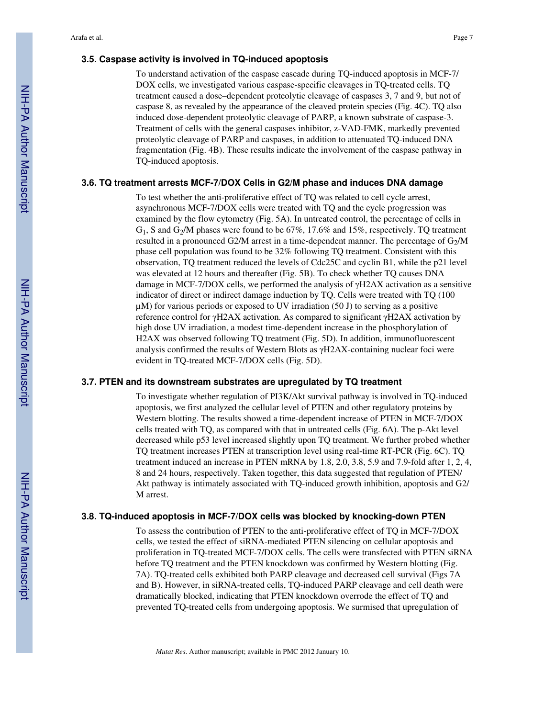## **3.5. Caspase activity is involved in TQ-induced apoptosis**

To understand activation of the caspase cascade during TQ-induced apoptosis in MCF-7/ DOX cells, we investigated various caspase-specific cleavages in TQ-treated cells. TQ treatment caused a dose–dependent proteolytic cleavage of caspases 3, 7 and 9, but not of caspase 8, as revealed by the appearance of the cleaved protein species (Fig. 4C). TQ also induced dose-dependent proteolytic cleavage of PARP, a known substrate of caspase-3. Treatment of cells with the general caspases inhibitor, z-VAD-FMK, markedly prevented proteolytic cleavage of PARP and caspases, in addition to attenuated TQ-induced DNA fragmentation (Fig. 4B). These results indicate the involvement of the caspase pathway in TQ-induced apoptosis.

## **3.6. TQ treatment arrests MCF-7/DOX Cells in G2/M phase and induces DNA damage**

To test whether the anti-proliferative effect of TQ was related to cell cycle arrest, asynchronous MCF-7/DOX cells were treated with TQ and the cycle progression was examined by the flow cytometry (Fig. 5A). In untreated control, the percentage of cells in  $G_1$ , S and  $G_2/M$  phases were found to be 67%, 17.6% and 15%, respectively. TQ treatment resulted in a pronounced G2/M arrest in a time-dependent manner. The percentage of  $G<sub>2</sub>/M$ phase cell population was found to be 32% following TQ treatment. Consistent with this observation, TQ treatment reduced the levels of Cdc25C and cyclin B1, while the p21 level was elevated at 12 hours and thereafter (Fig. 5B). To check whether TQ causes DNA damage in MCF-7/DOX cells, we performed the analysis of γH2AX activation as a sensitive indicator of direct or indirect damage induction by TQ. Cells were treated with TQ (100  $\mu$ M) for various periods or exposed to UV irradiation (50 J) to serving as a positive reference control for γH2AX activation. As compared to significant γH2AX activation by high dose UV irradiation, a modest time-dependent increase in the phosphorylation of H2AX was observed following TQ treatment (Fig. 5D). In addition, immunofluorescent analysis confirmed the results of Western Blots as γH2AX-containing nuclear foci were evident in TQ-treated MCF-7/DOX cells (Fig. 5D).

#### **3.7. PTEN and its downstream substrates are upregulated by TQ treatment**

To investigate whether regulation of PI3K/Akt survival pathway is involved in TQ-induced apoptosis, we first analyzed the cellular level of PTEN and other regulatory proteins by Western blotting. The results showed a time-dependent increase of PTEN in MCF-7/DOX cells treated with TQ, as compared with that in untreated cells (Fig. 6A). The p-Akt level decreased while p53 level increased slightly upon TQ treatment. We further probed whether TQ treatment increases PTEN at transcription level using real-time RT-PCR (Fig. 6C). TQ treatment induced an increase in PTEN mRNA by 1.8, 2.0, 3.8, 5.9 and 7.9-fold after 1, 2, 4, 8 and 24 hours, respectively. Taken together, this data suggested that regulation of PTEN/ Akt pathway is intimately associated with TQ-induced growth inhibition, apoptosis and G2/ M arrest.

#### **3.8. TQ-induced apoptosis in MCF-7/DOX cells was blocked by knocking-down PTEN**

To assess the contribution of PTEN to the anti-proliferative effect of TQ in MCF-7/DOX cells, we tested the effect of siRNA-mediated PTEN silencing on cellular apoptosis and proliferation in TQ-treated MCF-7/DOX cells. The cells were transfected with PTEN siRNA before TQ treatment and the PTEN knockdown was confirmed by Western blotting (Fig. 7A). TQ-treated cells exhibited both PARP cleavage and decreased cell survival (Figs 7A and B). However, in siRNA-treated cells, TQ-induced PARP cleavage and cell death were dramatically blocked, indicating that PTEN knockdown overrode the effect of TQ and prevented TQ-treated cells from undergoing apoptosis. We surmised that upregulation of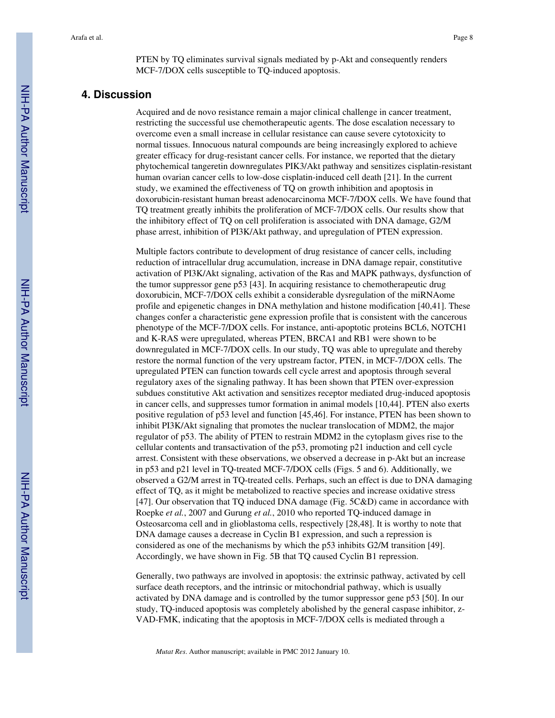PTEN by TQ eliminates survival signals mediated by p-Akt and consequently renders MCF-7/DOX cells susceptible to TQ-induced apoptosis.

## **4. Discussion**

Acquired and de novo resistance remain a major clinical challenge in cancer treatment, restricting the successful use chemotherapeutic agents. The dose escalation necessary to overcome even a small increase in cellular resistance can cause severe cytotoxicity to normal tissues. Innocuous natural compounds are being increasingly explored to achieve greater efficacy for drug-resistant cancer cells. For instance, we reported that the dietary phytochemical tangeretin downregulates PIK3/Akt pathway and sensitizes cisplatin-resistant human ovarian cancer cells to low-dose cisplatin-induced cell death [21]. In the current study, we examined the effectiveness of TQ on growth inhibition and apoptosis in doxorubicin-resistant human breast adenocarcinoma MCF-7/DOX cells. We have found that TQ treatment greatly inhibits the proliferation of MCF-7/DOX cells. Our results show that the inhibitory effect of TQ on cell proliferation is associated with DNA damage, G2/M phase arrest, inhibition of PI3K/Akt pathway, and upregulation of PTEN expression.

Multiple factors contribute to development of drug resistance of cancer cells, including reduction of intracellular drug accumulation, increase in DNA damage repair, constitutive activation of PI3K/Akt signaling, activation of the Ras and MAPK pathways, dysfunction of the tumor suppressor gene p53 [43]. In acquiring resistance to chemotherapeutic drug doxorubicin, MCF-7/DOX cells exhibit a considerable dysregulation of the miRNAome profile and epigenetic changes in DNA methylation and histone modification [40,41]. These changes confer a characteristic gene expression profile that is consistent with the cancerous phenotype of the MCF-7/DOX cells. For instance, anti-apoptotic proteins BCL6, NOTCH1 and K-RAS were upregulated, whereas PTEN, BRCA1 and RB1 were shown to be downregulated in MCF-7/DOX cells. In our study, TQ was able to upregulate and thereby restore the normal function of the very upstream factor, PTEN, in MCF-7/DOX cells. The upregulated PTEN can function towards cell cycle arrest and apoptosis through several regulatory axes of the signaling pathway. It has been shown that PTEN over-expression subdues constitutive Akt activation and sensitizes receptor mediated drug-induced apoptosis in cancer cells, and suppresses tumor formation in animal models [10,44]. PTEN also exerts positive regulation of p53 level and function [45,46]. For instance, PTEN has been shown to inhibit PI3K/Akt signaling that promotes the nuclear translocation of MDM2, the major regulator of p53. The ability of PTEN to restrain MDM2 in the cytoplasm gives rise to the cellular contents and transactivation of the p53, promoting p21 induction and cell cycle arrest. Consistent with these observations, we observed a decrease in p-Akt but an increase in p53 and p21 level in TQ-treated MCF-7/DOX cells (Figs. 5 and 6). Additionally, we observed a G2/M arrest in TQ-treated cells. Perhaps, such an effect is due to DNA damaging effect of TQ, as it might be metabolized to reactive species and increase oxidative stress [47]. Our observation that TQ induced DNA damage (Fig. 5C&D) came in accordance with Roepke *et al.*, 2007 and Gurung *et al.*, 2010 who reported TQ-induced damage in Osteosarcoma cell and in glioblastoma cells, respectively [28,48]. It is worthy to note that DNA damage causes a decrease in Cyclin B1 expression, and such a repression is considered as one of the mechanisms by which the p53 inhibits G2/M transition [49]. Accordingly, we have shown in Fig. 5B that TQ caused Cyclin B1 repression.

Generally, two pathways are involved in apoptosis: the extrinsic pathway, activated by cell surface death receptors, and the intrinsic or mitochondrial pathway, which is usually activated by DNA damage and is controlled by the tumor suppressor gene p53 [50]. In our study, TQ-induced apoptosis was completely abolished by the general caspase inhibitor, z-VAD-FMK, indicating that the apoptosis in MCF-7/DOX cells is mediated through a

*Mutat Res*. Author manuscript; available in PMC 2012 January 10.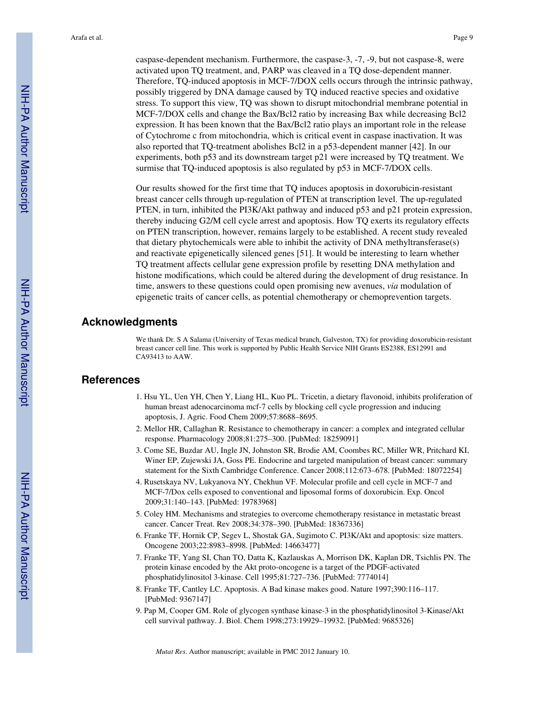caspase-dependent mechanism. Furthermore, the caspase-3, -7, -9, but not caspase-8, were activated upon TQ treatment, and, PARP was cleaved in a TQ dose-dependent manner. Therefore, TQ-induced apoptosis in MCF-7/DOX cells occurs through the intrinsic pathway, possibly triggered by DNA damage caused by TQ induced reactive species and oxidative stress. To support this view, TQ was shown to disrupt mitochondrial membrane potential in MCF-7/DOX cells and change the Bax/Bcl2 ratio by increasing Bax while decreasing Bcl2 expression. It has been known that the Bax/Bcl2 ratio plays an important role in the release of Cytochrome c from mitochondria, which is critical event in caspase inactivation. It was also reported that TQ-treatment abolishes Bcl2 in a p53-dependent manner [42]. In our experiments, both p53 and its downstream target p21 were increased by TQ treatment. We surmise that TQ-induced apoptosis is also regulated by p53 in MCF-7/DOX cells.

Our results showed for the first time that TQ induces apoptosis in doxorubicin-resistant breast cancer cells through up-regulation of PTEN at transcription level. The up-regulated PTEN, in turn, inhibited the PI3K/Akt pathway and induced p53 and p21 protein expression, thereby inducing G2/M cell cycle arrest and apoptosis. How TQ exerts its regulatory effects on PTEN transcription, however, remains largely to be established. A recent study revealed that dietary phytochemicals were able to inhibit the activity of DNA methyltransferase(s) and reactivate epigenetically silenced genes [51]. It would be interesting to learn whether TQ treatment affects cellular gene expression profile by resetting DNA methylation and histone modifications, which could be altered during the development of drug resistance. In time, answers to these questions could open promising new avenues, *via* modulation of epigenetic traits of cancer cells, as potential chemotherapy or chemoprevention targets.

## **Acknowledgments**

We thank Dr. S A Salama (University of Texas medical branch, Galveston, TX) for providing doxorubicin-resistant breast cancer cell line. This work is supported by Public Health Service NIH Grants ES2388, ES12991 and CA93413 to AAW.

## **References**

- 1. Hsu YL, Uen YH, Chen Y, Liang HL, Kuo PL. Tricetin, a dietary flavonoid, inhibits proliferation of human breast adenocarcinoma mcf-7 cells by blocking cell cycle progression and inducing apoptosis, J. Agric. Food Chem 2009;57:8688–8695.
- 2. Mellor HR, Callaghan R. Resistance to chemotherapy in cancer: a complex and integrated cellular response. Pharmacology 2008;81:275–300. [PubMed: 18259091]
- 3. Come SE, Buzdar AU, Ingle JN, Johnston SR, Brodie AM, Coombes RC, Miller WR, Pritchard KI, Winer EP, Zujewski JA, Goss PE. Endocrine and targeted manipulation of breast cancer: summary statement for the Sixth Cambridge Conference. Cancer 2008;112:673–678. [PubMed: 18072254]
- 4. Rusetskaya NV, Lukyanova NY, Chekhun VF. Molecular profile and cell cycle in MCF-7 and MCF-7/Dox cells exposed to conventional and liposomal forms of doxorubicin. Exp. Oncol 2009;31:140–143. [PubMed: 19783968]
- 5. Coley HM. Mechanisms and strategies to overcome chemotherapy resistance in metastatic breast cancer. Cancer Treat. Rev 2008;34:378–390. [PubMed: 18367336]
- 6. Franke TF, Hornik CP, Segev L, Shostak GA, Sugimoto C. PI3K/Akt and apoptosis: size matters. Oncogene 2003;22:8983–8998. [PubMed: 14663477]
- 7. Franke TF, Yang SI, Chan TO, Datta K, Kazlauskas A, Morrison DK, Kaplan DR, Tsichlis PN. The protein kinase encoded by the Akt proto-oncogene is a target of the PDGF-activated phosphatidylinositol 3-kinase. Cell 1995;81:727–736. [PubMed: 7774014]
- 8. Franke TF, Cantley LC. Apoptosis. A Bad kinase makes good. Nature 1997;390:116–117. [PubMed: 9367147]
- 9. Pap M, Cooper GM. Role of glycogen synthase kinase-3 in the phosphatidylinositol 3-Kinase/Akt cell survival pathway. J. Biol. Chem 1998;273:19929–19932. [PubMed: 9685326]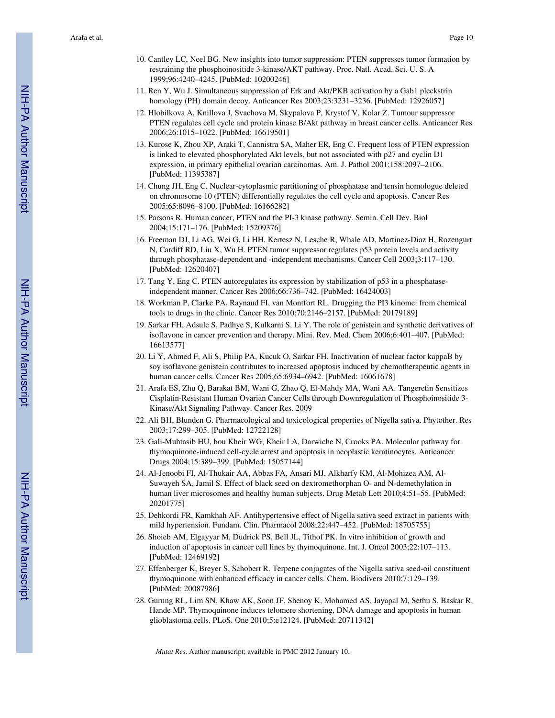- 10. Cantley LC, Neel BG. New insights into tumor suppression: PTEN suppresses tumor formation by restraining the phosphoinositide 3-kinase/AKT pathway. Proc. Natl. Acad. Sci. U. S. A 1999;96:4240–4245. [PubMed: 10200246]
- 11. Ren Y, Wu J. Simultaneous suppression of Erk and Akt/PKB activation by a Gab1 pleckstrin homology (PH) domain decoy. Anticancer Res 2003;23:3231–3236. [PubMed: 12926057]
- 12. Hlobilkova A, Knillova J, Svachova M, Skypalova P, Krystof V, Kolar Z. Tumour suppressor PTEN regulates cell cycle and protein kinase B/Akt pathway in breast cancer cells. Anticancer Res 2006;26:1015–1022. [PubMed: 16619501]
- 13. Kurose K, Zhou XP, Araki T, Cannistra SA, Maher ER, Eng C. Frequent loss of PTEN expression is linked to elevated phosphorylated Akt levels, but not associated with p27 and cyclin D1 expression, in primary epithelial ovarian carcinomas. Am. J. Pathol 2001;158:2097–2106. [PubMed: 11395387]
- 14. Chung JH, Eng C. Nuclear-cytoplasmic partitioning of phosphatase and tensin homologue deleted on chromosome 10 (PTEN) differentially regulates the cell cycle and apoptosis. Cancer Res 2005;65:8096–8100. [PubMed: 16166282]
- 15. Parsons R. Human cancer, PTEN and the PI-3 kinase pathway. Semin. Cell Dev. Biol 2004;15:171–176. [PubMed: 15209376]
- 16. Freeman DJ, Li AG, Wei G, Li HH, Kertesz N, Lesche R, Whale AD, Martinez-Diaz H, Rozengurt N, Cardiff RD, Liu X, Wu H. PTEN tumor suppressor regulates p53 protein levels and activity through phosphatase-dependent and -independent mechanisms. Cancer Cell 2003;3:117–130. [PubMed: 12620407]
- 17. Tang Y, Eng C. PTEN autoregulates its expression by stabilization of p53 in a phosphataseindependent manner. Cancer Res 2006;66:736–742. [PubMed: 16424003]
- 18. Workman P, Clarke PA, Raynaud FI, van Montfort RL. Drugging the PI3 kinome: from chemical tools to drugs in the clinic. Cancer Res 2010;70:2146–2157. [PubMed: 20179189]
- 19. Sarkar FH, Adsule S, Padhye S, Kulkarni S, Li Y. The role of genistein and synthetic derivatives of isoflavone in cancer prevention and therapy. Mini. Rev. Med. Chem 2006;6:401–407. [PubMed: 16613577]
- 20. Li Y, Ahmed F, Ali S, Philip PA, Kucuk O, Sarkar FH. Inactivation of nuclear factor kappaB by soy isoflavone genistein contributes to increased apoptosis induced by chemotherapeutic agents in human cancer cells. Cancer Res 2005;65:6934–6942. [PubMed: 16061678]
- 21. Arafa ES, Zhu Q, Barakat BM, Wani G, Zhao Q, El-Mahdy MA, Wani AA. Tangeretin Sensitizes Cisplatin-Resistant Human Ovarian Cancer Cells through Downregulation of Phosphoinositide 3- Kinase/Akt Signaling Pathway. Cancer Res. 2009
- 22. Ali BH, Blunden G. Pharmacological and toxicological properties of Nigella sativa. Phytother. Res 2003;17:299–305. [PubMed: 12722128]
- 23. Gali-Muhtasib HU, bou Kheir WG, Kheir LA, Darwiche N, Crooks PA. Molecular pathway for thymoquinone-induced cell-cycle arrest and apoptosis in neoplastic keratinocytes. Anticancer Drugs 2004;15:389–399. [PubMed: 15057144]
- 24. Al-Jenoobi FI, Al-Thukair AA, Abbas FA, Ansari MJ, Alkharfy KM, Al-Mohizea AM, Al-Suwayeh SA, Jamil S. Effect of black seed on dextromethorphan O- and N-demethylation in human liver microsomes and healthy human subjects. Drug Metab Lett 2010;4:51–55. [PubMed: 20201775]
- 25. Dehkordi FR, Kamkhah AF. Antihypertensive effect of Nigella sativa seed extract in patients with mild hypertension. Fundam. Clin. Pharmacol 2008;22:447–452. [PubMed: 18705755]
- 26. Shoieb AM, Elgayyar M, Dudrick PS, Bell JL, Tithof PK. In vitro inhibition of growth and induction of apoptosis in cancer cell lines by thymoquinone. Int. J. Oncol 2003;22:107–113. [PubMed: 12469192]
- 27. Effenberger K, Breyer S, Schobert R. Terpene conjugates of the Nigella sativa seed-oil constituent thymoquinone with enhanced efficacy in cancer cells. Chem. Biodivers 2010;7:129–139. [PubMed: 20087986]
- 28. Gurung RL, Lim SN, Khaw AK, Soon JF, Shenoy K, Mohamed AS, Jayapal M, Sethu S, Baskar R, Hande MP. Thymoquinone induces telomere shortening, DNA damage and apoptosis in human glioblastoma cells. PLoS. One 2010;5:e12124. [PubMed: 20711342]

*Mutat Res*. Author manuscript; available in PMC 2012 January 10.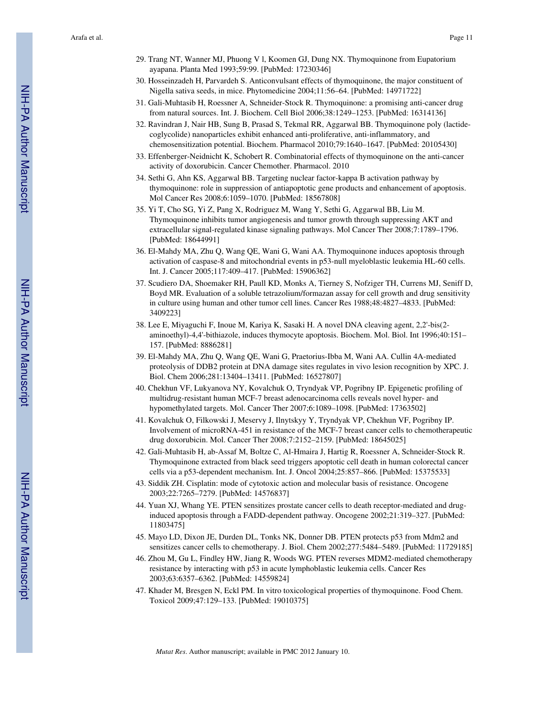- 29. Trang NT, Wanner MJ, Phuong V l, Koomen GJ, Dung NX. Thymoquinone from Eupatorium ayapana. Planta Med 1993;59:99. [PubMed: 17230346]
- 30. Hosseinzadeh H, Parvardeh S. Anticonvulsant effects of thymoquinone, the major constituent of Nigella sativa seeds, in mice. Phytomedicine 2004;11:56–64. [PubMed: 14971722]
- 31. Gali-Muhtasib H, Roessner A, Schneider-Stock R. Thymoquinone: a promising anti-cancer drug from natural sources. Int. J. Biochem. Cell Biol 2006;38:1249–1253. [PubMed: 16314136]
- 32. Ravindran J, Nair HB, Sung B, Prasad S, Tekmal RR, Aggarwal BB. Thymoquinone poly (lactidecoglycolide) nanoparticles exhibit enhanced anti-proliferative, anti-inflammatory, and chemosensitization potential. Biochem. Pharmacol 2010;79:1640–1647. [PubMed: 20105430]
- 33. Effenberger-Neidnicht K, Schobert R. Combinatorial effects of thymoquinone on the anti-cancer activity of doxorubicin. Cancer Chemother. Pharmacol. 2010
- 34. Sethi G, Ahn KS, Aggarwal BB. Targeting nuclear factor-kappa B activation pathway by thymoquinone: role in suppression of antiapoptotic gene products and enhancement of apoptosis. Mol Cancer Res 2008;6:1059–1070. [PubMed: 18567808]
- 35. Yi T, Cho SG, Yi Z, Pang X, Rodriguez M, Wang Y, Sethi G, Aggarwal BB, Liu M. Thymoquinone inhibits tumor angiogenesis and tumor growth through suppressing AKT and extracellular signal-regulated kinase signaling pathways. Mol Cancer Ther 2008;7:1789–1796. [PubMed: 18644991]
- 36. El-Mahdy MA, Zhu Q, Wang QE, Wani G, Wani AA. Thymoquinone induces apoptosis through activation of caspase-8 and mitochondrial events in p53-null myeloblastic leukemia HL-60 cells. Int. J. Cancer 2005;117:409–417. [PubMed: 15906362]
- 37. Scudiero DA, Shoemaker RH, Paull KD, Monks A, Tierney S, Nofziger TH, Currens MJ, Seniff D, Boyd MR. Evaluation of a soluble tetrazolium/formazan assay for cell growth and drug sensitivity in culture using human and other tumor cell lines. Cancer Res 1988;48:4827–4833. [PubMed: 3409223]
- 38. Lee E, Miyaguchi F, Inoue M, Kariya K, Sasaki H. A novel DNA cleaving agent, 2,2'-bis(2 aminoethyl)-4,4'-bithiazole, induces thymocyte apoptosis. Biochem. Mol. Biol. Int 1996;40:151– 157. [PubMed: 8886281]
- 39. El-Mahdy MA, Zhu Q, Wang QE, Wani G, Praetorius-Ibba M, Wani AA. Cullin 4A-mediated proteolysis of DDB2 protein at DNA damage sites regulates in vivo lesion recognition by XPC. J. Biol. Chem 2006;281:13404–13411. [PubMed: 16527807]
- 40. Chekhun VF, Lukyanova NY, Kovalchuk O, Tryndyak VP, Pogribny IP. Epigenetic profiling of multidrug-resistant human MCF-7 breast adenocarcinoma cells reveals novel hyper- and hypomethylated targets. Mol. Cancer Ther 2007;6:1089–1098. [PubMed: 17363502]
- 41. Kovalchuk O, Filkowski J, Meservy J, Ilnytskyy Y, Tryndyak VP, Chekhun VF, Pogribny IP. Involvement of microRNA-451 in resistance of the MCF-7 breast cancer cells to chemotherapeutic drug doxorubicin. Mol. Cancer Ther 2008;7:2152–2159. [PubMed: 18645025]
- 42. Gali-Muhtasib H, ab-Assaf M, Boltze C, Al-Hmaira J, Hartig R, Roessner A, Schneider-Stock R. Thymoquinone extracted from black seed triggers apoptotic cell death in human colorectal cancer cells via a p53-dependent mechanism. Int. J. Oncol 2004;25:857–866. [PubMed: 15375533]
- 43. Siddik ZH. Cisplatin: mode of cytotoxic action and molecular basis of resistance. Oncogene 2003;22:7265–7279. [PubMed: 14576837]
- 44. Yuan XJ, Whang YE. PTEN sensitizes prostate cancer cells to death receptor-mediated and druginduced apoptosis through a FADD-dependent pathway. Oncogene 2002;21:319–327. [PubMed: 11803475]
- 45. Mayo LD, Dixon JE, Durden DL, Tonks NK, Donner DB. PTEN protects p53 from Mdm2 and sensitizes cancer cells to chemotherapy. J. Biol. Chem 2002;277:5484–5489. [PubMed: 11729185]
- 46. Zhou M, Gu L, Findley HW, Jiang R, Woods WG. PTEN reverses MDM2-mediated chemotherapy resistance by interacting with p53 in acute lymphoblastic leukemia cells. Cancer Res 2003;63:6357–6362. [PubMed: 14559824]
- 47. Khader M, Bresgen N, Eckl PM. In vitro toxicological properties of thymoquinone. Food Chem. Toxicol 2009;47:129–133. [PubMed: 19010375]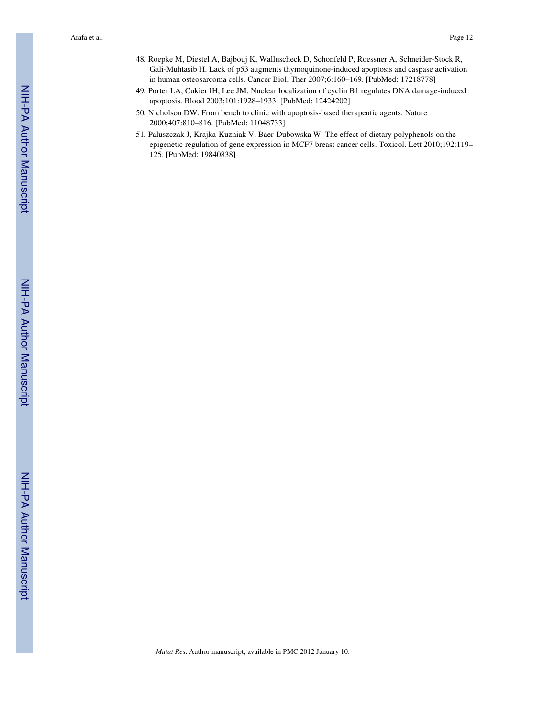- 48. Roepke M, Diestel A, Bajbouj K, Walluscheck D, Schonfeld P, Roessner A, Schneider-Stock R, Gali-Muhtasib H. Lack of p53 augments thymoquinone-induced apoptosis and caspase activation in human osteosarcoma cells. Cancer Biol. Ther 2007;6:160–169. [PubMed: 17218778]
- 49. Porter LA, Cukier IH, Lee JM. Nuclear localization of cyclin B1 regulates DNA damage-induced apoptosis. Blood 2003;101:1928–1933. [PubMed: 12424202]
- 50. Nicholson DW. From bench to clinic with apoptosis-based therapeutic agents. Nature 2000;407:810–816. [PubMed: 11048733]
- 51. Paluszczak J, Krajka-Kuzniak V, Baer-Dubowska W. The effect of dietary polyphenols on the epigenetic regulation of gene expression in MCF7 breast cancer cells. Toxicol. Lett 2010;192:119– 125. [PubMed: 19840838]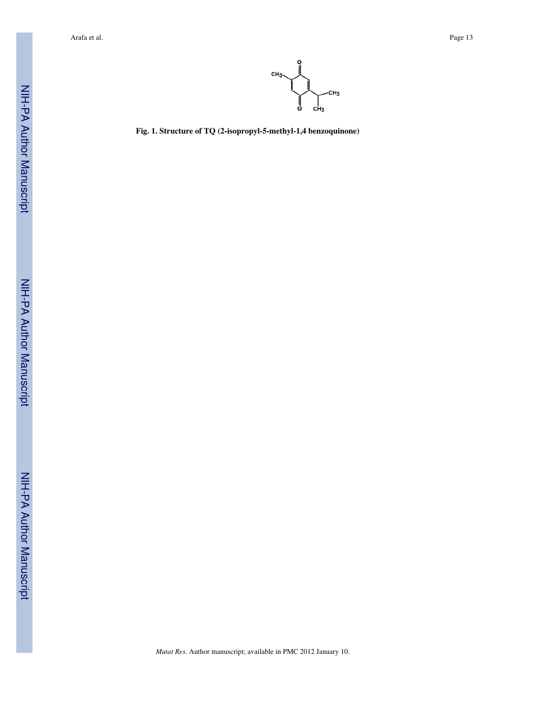

**Fig. 1. Structure of TQ (2-isopropyl-5-methyl-1,4 benzoquinone)**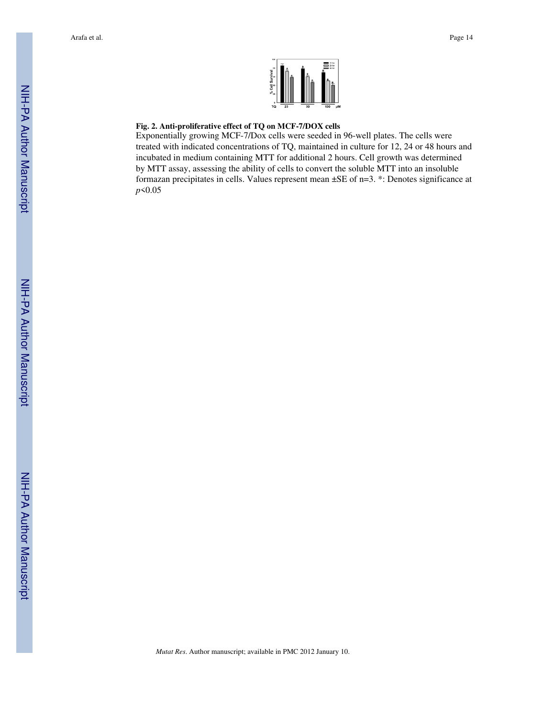

## **Fig. 2. Anti-proliferative effect of TQ on MCF-7/DOX cells**

Exponentially growing MCF-7/Dox cells were seeded in 96-well plates. The cells were treated with indicated concentrations of TQ, maintained in culture for 12, 24 or 48 hours and incubated in medium containing MTT for additional 2 hours. Cell growth was determined by MTT assay, assessing the ability of cells to convert the soluble MTT into an insoluble formazan precipitates in cells. Values represent mean ±SE of n=3. \*: Denotes significance at *p*<0.05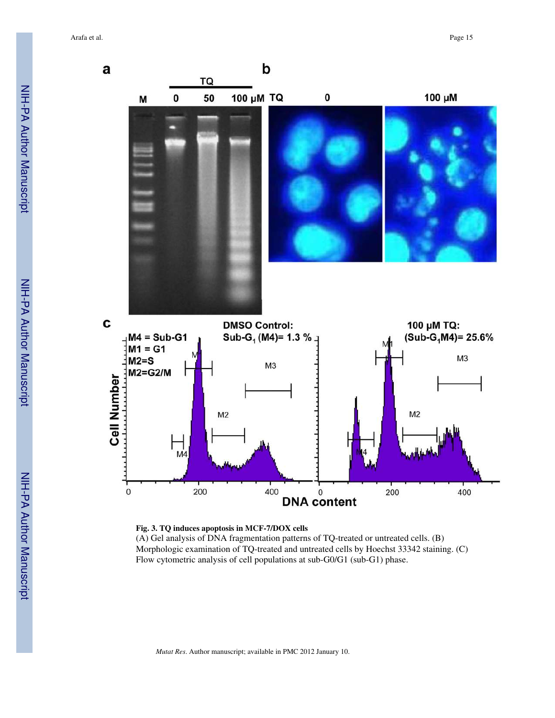

**Fig. 3. TQ induces apoptosis in MCF-7/DOX cells** (A) Gel analysis of DNA fragmentation patterns of TQ-treated or untreated cells. (B) Morphologic examination of TQ-treated and untreated cells by Hoechst 33342 staining. (C) Flow cytometric analysis of cell populations at sub-G0/G1 (sub-G1) phase.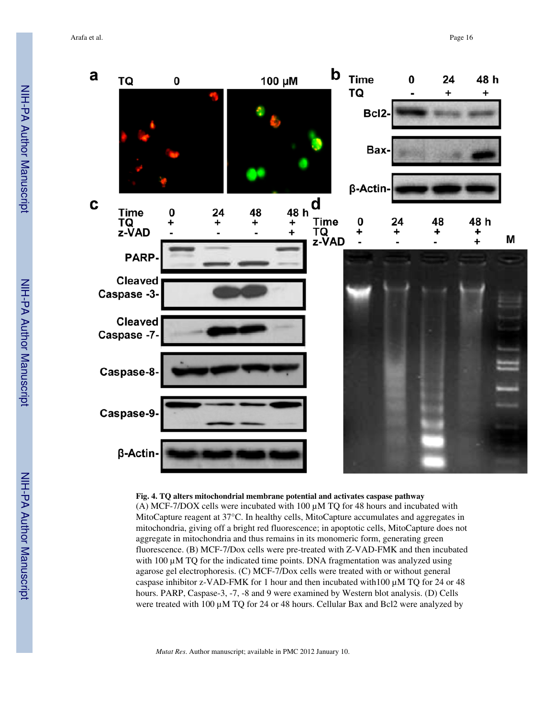

**Fig. 4. TQ alters mitochondrial membrane potential and activates caspase pathway**

(A) MCF-7/DOX cells were incubated with  $100 \mu$ M TQ for 48 hours and incubated with MitoCapture reagent at 37°C. In healthy cells, MitoCapture accumulates and aggregates in mitochondria, giving off a bright red fluorescence; in apoptotic cells, MitoCapture does not aggregate in mitochondria and thus remains in its monomeric form, generating green fluorescence. (B) MCF-7/Dox cells were pre-treated with Z-VAD-FMK and then incubated with  $100 \mu$ M TQ for the indicated time points. DNA fragmentation was analyzed using agarose gel electrophoresis. (C) MCF-7/Dox cells were treated with or without general caspase inhibitor z-VAD-FMK for 1 hour and then incubated with  $100 \mu$ M TQ for 24 or 48 hours. PARP, Caspase-3, -7, -8 and 9 were examined by Western blot analysis. (D) Cells were treated with 100 µM TQ for 24 or 48 hours. Cellular Bax and Bcl2 were analyzed by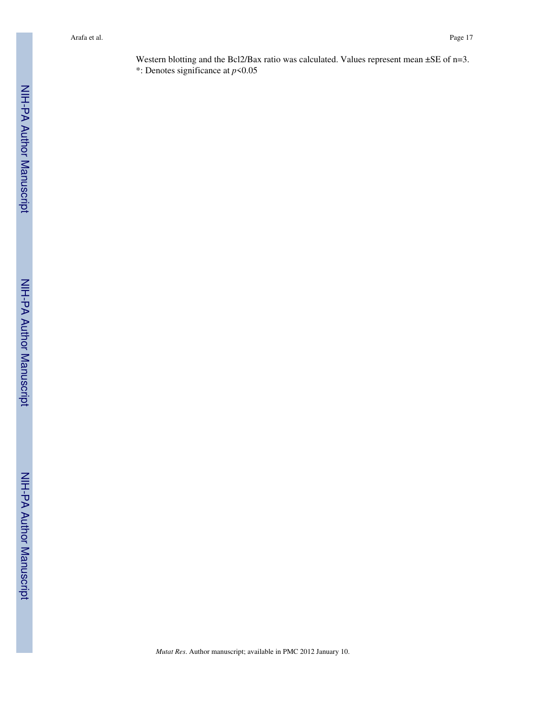Western blotting and the Bcl2/Bax ratio was calculated. Values represent mean  $\pm$ SE of n=3. \*: Denotes significance at *p*<0.05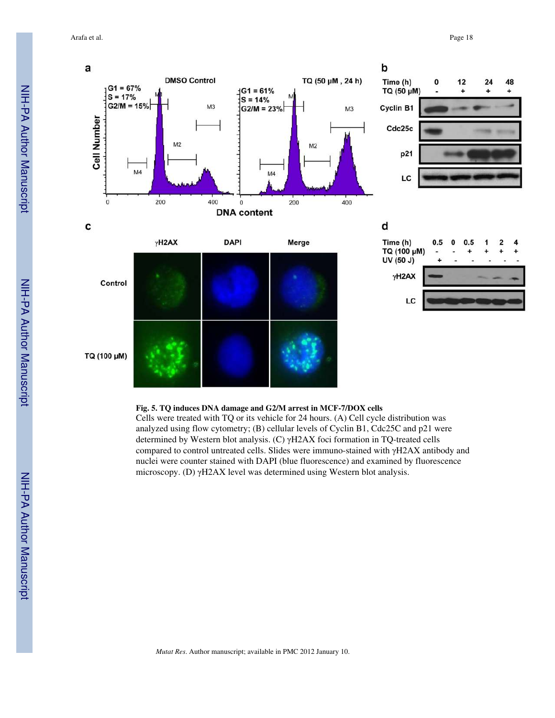

## **Fig. 5. TQ induces DNA damage and G2/M arrest in MCF-7/DOX cells**

Cells were treated with TQ or its vehicle for 24 hours. (A) Cell cycle distribution was analyzed using flow cytometry; (B) cellular levels of Cyclin B1, Cdc25C and p21 were determined by Western blot analysis. (C) γH2AX foci formation in TQ-treated cells compared to control untreated cells. Slides were immuno-stained with γH2AX antibody and nuclei were counter stained with DAPI (blue fluorescence) and examined by fluorescence microscopy. (D) γH2AX level was determined using Western blot analysis.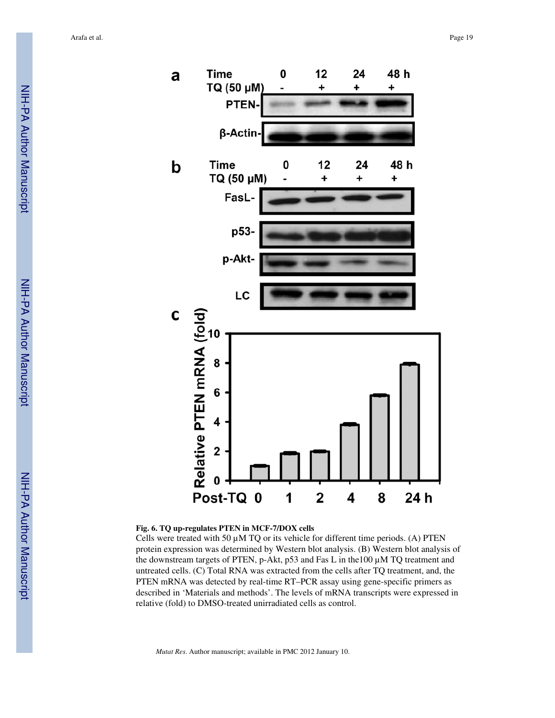

## **Fig. 6. TQ up-regulates PTEN in MCF-7/DOX cells**

Cells were treated with 50  $\mu$ M TQ or its vehicle for different time periods. (A) PTEN protein expression was determined by Western blot analysis. (B) Western blot analysis of the downstream targets of PTEN, p-Akt, p53 and Fas L in the100 µM TQ treatment and untreated cells. (C) Total RNA was extracted from the cells after TQ treatment, and, the PTEN mRNA was detected by real-time RT–PCR assay using gene-specific primers as described in 'Materials and methods'. The levels of mRNA transcripts were expressed in relative (fold) to DMSO-treated unirradiated cells as control.